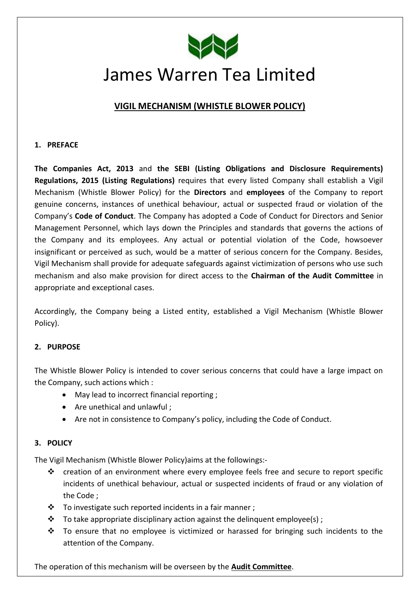

# James Warren Tea Limited

# **VIGIL MECHANISM (WHISTLE BLOWER POLICY)**

#### **1. PREFACE**

**The Companies Act, 2013** and **the SEBI (Listing Obligations and Disclosure Requirements) Regulations, 2015 (Listing Regulations)** requires that every listed Company shall establish a Vigil Mechanism (Whistle Blower Policy) for the **Directors** and **employees** of the Company to report genuine concerns, instances of unethical behaviour, actual or suspected fraud or violation of the Company's **Code of Conduct**. The Company has adopted a Code of Conduct for Directors and Senior Management Personnel, which lays down the Principles and standards that governs the actions of the Company and its employees. Any actual or potential violation of the Code, howsoever insignificant or perceived as such, would be a matter of serious concern for the Company. Besides, Vigil Mechanism shall provide for adequate safeguards against victimization of persons who use such mechanism and also make provision for direct access to the **Chairman of the Audit Committee** in appropriate and exceptional cases.

Accordingly, the Company being a Listed entity, established a Vigil Mechanism (Whistle Blower Policy).

## **2. PURPOSE**

The Whistle Blower Policy is intended to cover serious concerns that could have a large impact on the Company, such actions which :

- May lead to incorrect financial reporting ;
- Are unethical and unlawful;
- Are not in consistence to Company's policy, including the Code of Conduct.

#### **3. POLICY**

The Vigil Mechanism (Whistle Blower Policy)aims at the followings:-

- $\cdot \cdot$  creation of an environment where every employee feels free and secure to report specific incidents of unethical behaviour, actual or suspected incidents of fraud or any violation of the Code ;
- $\cdot \cdot$  To investigate such reported incidents in a fair manner;
- $\clubsuit$  To take appropriate disciplinary action against the delinquent employee(s);
- $\cdot \cdot$  To ensure that no employee is victimized or harassed for bringing such incidents to the attention of the Company.

The operation of this mechanism will be overseen by the **Audit Committee**.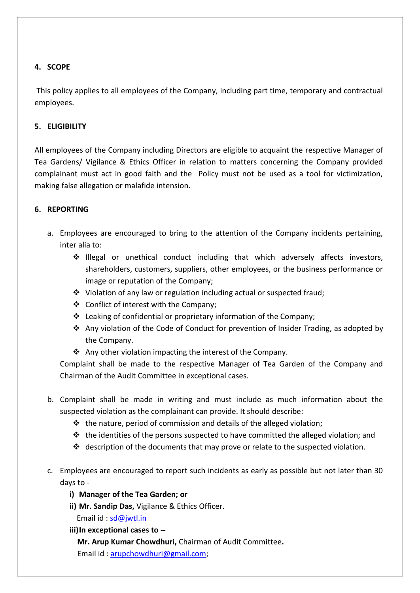## **4. SCOPE**

This policy applies to all employees of the Company, including part time, temporary and contractual employees.

## **5. ELIGIBILITY**

All employees of the Company including Directors are eligible to acquaint the respective Manager of Tea Gardens/ Vigilance & Ethics Officer in relation to matters concerning the Company provided complainant must act in good faith and the Policy must not be used as a tool for victimization, making false allegation or malafide intension.

## **6. REPORTING**

- a. Employees are encouraged to bring to the attention of the Company incidents pertaining, inter alia to:
	- Illegal or unethical conduct including that which adversely affects investors, shareholders, customers, suppliers, other employees, or the business performance or image or reputation of the Company;
	- Violation of any law or regulation including actual or suspected fraud;
	- Conflict of interest with the Company;
	- Leaking of confidential or proprietary information of the Company;
	- Any violation of the Code of Conduct for prevention of Insider Trading, as adopted by the Company.
	- $\cdot$  Any other violation impacting the interest of the Company.

Complaint shall be made to the respective Manager of Tea Garden of the Company and Chairman of the Audit Committee in exceptional cases.

- b. Complaint shall be made in writing and must include as much information about the suspected violation as the complainant can provide. It should describe:
	- $\triangleq$  the nature, period of commission and details of the alleged violation;
	- $\cdot \cdot$  the identities of the persons suspected to have committed the alleged violation; and
	- $\clubsuit$  description of the documents that may prove or relate to the suspected violation.
- c. Employees are encouraged to report such incidents as early as possible but not later than 30 days to
	- **i) Manager of the Tea Garden; or**
	- **ii) Mr. Sandip Das,** Vigilance & Ethics Officer. Email id: [sd@jwtl.in](mailto:sd@jwtl.in)
	- **iii)In exceptional cases to -- Mr. Arup Kumar Chowdhuri,** Chairman of Audit Committee**.** Email id : [arupchowdhuri@gmail.com;](mailto:arupchowdhuri@gmail.com)